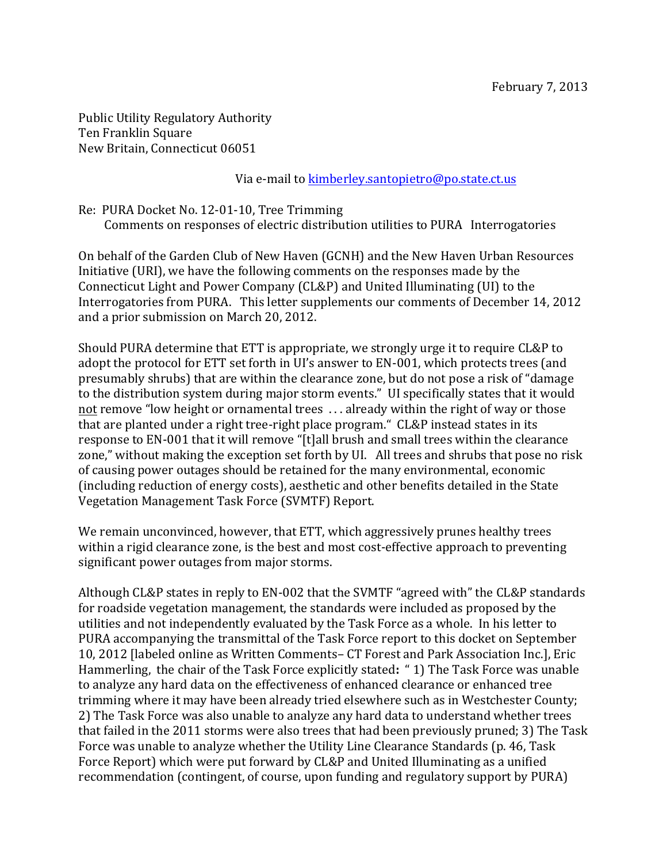Public Utility Regulatory Authority Ten Franklin Square New Britain, Connecticut 06051

Via e-mail to kimberley.santopietro@po.state.ct.us

Re: PURA Docket No. 12-01-10, Tree Trimming Comments on responses of electric distribution utilities to PURA Interrogatories

On behalf of the Garden Club of New Haven (GCNH) and the New Haven Urban Resources Initiative (URI), we have the following comments on the responses made by the Connecticut Light and Power Company (CL&P) and United Illuminating (UI) to the Interrogatories from PURA. This letter supplements our comments of December 14, 2012 and a prior submission on March 20, 2012.

Should PURA determine that ETT is appropriate, we strongly urge it to require CL&P to adopt the protocol for ETT set forth in UI's answer to EN-001, which protects trees (and presumably shrubs) that are within the clearance zone, but do not pose a risk of "damage to the distribution system during major storm events." UI specifically states that it would not remove "low height or ornamental trees ... already within the right of way or those that are planted under a right tree-right place program." CL&P instead states in its response to EN-001 that it will remove "[t]all brush and small trees within the clearance zone," without making the exception set forth by UI. All trees and shrubs that pose no risk of causing power outages should be retained for the many environmental, economic (including reduction of energy costs), aesthetic and other benefits detailed in the State Vegetation Management Task Force (SVMTF) Report. 

We remain unconvinced, however, that ETT, which aggressively prunes healthy trees within a rigid clearance zone, is the best and most cost-effective approach to preventing significant power outages from major storms.

Although CL&P states in reply to EN-002 that the SVMTF "agreed with" the CL&P standards for roadside vegetation management, the standards were included as proposed by the utilities and not independently evaluated by the Task Force as a whole. In his letter to PURA accompanying the transmittal of the Task Force report to this docket on September 10, 2012 Ilabeled online as Written Comments– CT Forest and Park Association Inc. I. Eric Hammerling, the chair of the Task Force explicitly stated: "1) The Task Force was unable to analyze any hard data on the effectiveness of enhanced clearance or enhanced tree trimming where it may have been already tried elsewhere such as in Westchester County; 2) The Task Force was also unable to analyze any hard data to understand whether trees that failed in the 2011 storms were also trees that had been previously pruned; 3) The Task Force was unable to analyze whether the Utility Line Clearance Standards (p. 46, Task Force Report) which were put forward by CL&P and United Illuminating as a unified recommendation (contingent, of course, upon funding and regulatory support by PURA)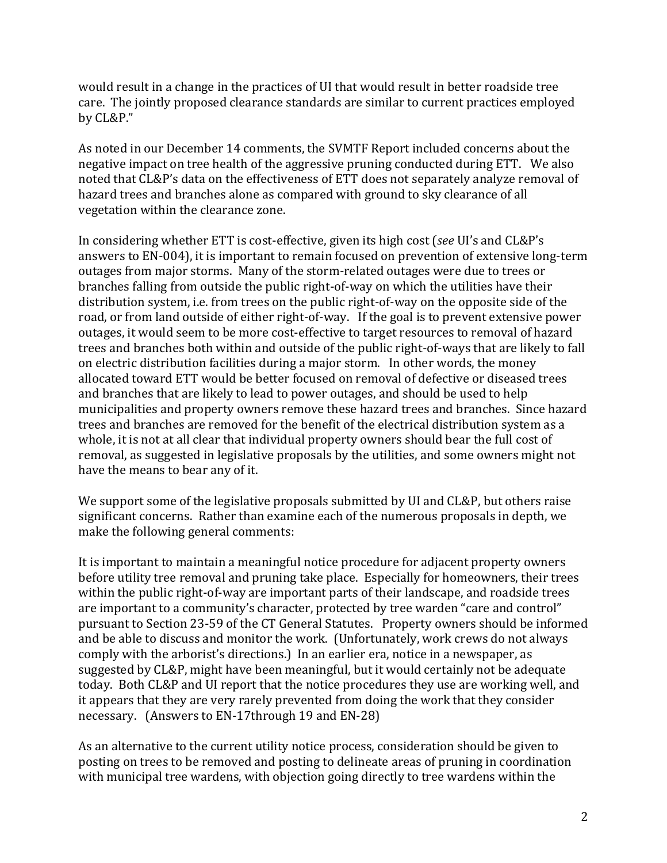would result in a change in the practices of UI that would result in better roadside tree care. The jointly proposed clearance standards are similar to current practices employed by CL&P." 

As noted in our December 14 comments, the SVMTF Report included concerns about the negative impact on tree health of the aggressive pruning conducted during ETT. We also noted that CL&P's data on the effectiveness of ETT does not separately analyze removal of hazard trees and branches alone as compared with ground to sky clearance of all vegetation within the clearance zone.

In considering whether ETT is cost-effective, given its high cost (*see* UI's and CL&P's answers to EN-004), it is important to remain focused on prevention of extensive long-term outages from major storms. Many of the storm-related outages were due to trees or branches falling from outside the public right-of-way on which the utilities have their distribution system, i.e. from trees on the public right-of-way on the opposite side of the road, or from land outside of either right-of-way. If the goal is to prevent extensive power outages, it would seem to be more cost-effective to target resources to removal of hazard trees and branches both within and outside of the public right-of-ways that are likely to fall on electric distribution facilities during a major storm. In other words, the money allocated toward ETT would be better focused on removal of defective or diseased trees and branches that are likely to lead to power outages, and should be used to help municipalities and property owners remove these hazard trees and branches. Since hazard trees and branches are removed for the benefit of the electrical distribution system as a whole, it is not at all clear that individual property owners should bear the full cost of removal, as suggested in legislative proposals by the utilities, and some owners might not have the means to bear any of it.

We support some of the legislative proposals submitted by UI and CL&P, but others raise significant concerns. Rather than examine each of the numerous proposals in depth, we make the following general comments:

It is important to maintain a meaningful notice procedure for adjacent property owners before utility tree removal and pruning take place. Especially for homeowners, their trees within the public right-of-way are important parts of their landscape, and roadside trees are important to a community's character, protected by tree warden "care and control" pursuant to Section 23-59 of the CT General Statutes. Property owners should be informed and be able to discuss and monitor the work. (Unfortunately, work crews do not always comply with the arborist's directions.) In an earlier era, notice in a newspaper, as suggested by CL&P, might have been meaningful, but it would certainly not be adequate today. Both CL&P and UI report that the notice procedures they use are working well, and it appears that they are very rarely prevented from doing the work that they consider necessary. (Answers to EN-17through 19 and EN-28)

As an alternative to the current utility notice process, consideration should be given to posting on trees to be removed and posting to delineate areas of pruning in coordination with municipal tree wardens, with objection going directly to tree wardens within the